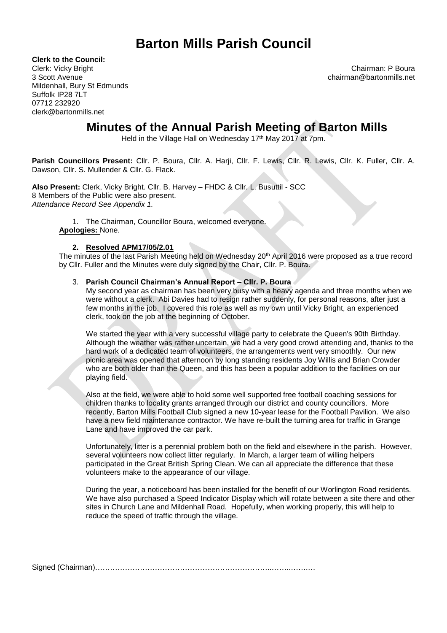# **Barton Mills Parish Council**

**Clerk to the Council:**

3 Scott Avenue chairman@bartonmills.net Mildenhall, Bury St Edmunds Suffolk IP28 7LT 07712 232920 clerk@bartonmills.net

Clerk: Vicky Bright Chairman: P Boura

## **Minutes of the Annual Parish Meeting of Barton Mills**

Held in the Village Hall on Wednesday 17<sup>th</sup> May 2017 at 7pm.

**Parish Councillors Present:** Cllr. P. Boura, Cllr. A. Harji, Cllr. F. Lewis, Cllr. R. Lewis, Cllr. K. Fuller, Cllr. A. Dawson, Cllr. S. Mullender & Cllr. G. Flack.

**Also Present:** Clerk, Vicky Bright. Cllr. B. Harvey – FHDC & Cllr. L. Busuttil - SCC 8 Members of the Public were also present. *Attendance Record See Appendix 1.*

1. The Chairman, Councillor Boura, welcomed everyone. **Apologies:** None.

## **2. Resolved APM17/05/2.01**

The minutes of the last Parish Meeting held on Wednesday 20<sup>th</sup> April 2016 were proposed as a true record by Cllr. Fuller and the Minutes were duly signed by the Chair, Cllr. P. Boura.

## 3. **Parish Council Chairman's Annual Report – Cllr. P. Boura**

My second year as chairman has been very busy with a heavy agenda and three months when we were without a clerk. Abi Davies had to resign rather suddenly, for personal reasons, after just a few months in the job. I covered this role as well as my own until Vicky Bright, an experienced clerk, took on the job at the beginning of October.

We started the year with a very successful village party to celebrate the Queen's 90th Birthday. Although the weather was rather uncertain, we had a very good crowd attending and, thanks to the hard work of a dedicated team of volunteers, the arrangements went very smoothly. Our new picnic area was opened that afternoon by long standing residents Joy Willis and Brian Crowder who are both older than the Queen, and this has been a popular addition to the facilities on our playing field.

Also at the field, we were able to hold some well supported free football coaching sessions for children thanks to locality grants arranged through our district and county councillors. More recently, Barton Mills Football Club signed a new 10-year lease for the Football Pavilion. We also have a new field maintenance contractor. We have re-built the turning area for traffic in Grange Lane and have improved the car park.

Unfortunately, litter is a perennial problem both on the field and elsewhere in the parish. However, several volunteers now collect litter regularly. In March, a larger team of willing helpers participated in the Great British Spring Clean. We can all appreciate the difference that these volunteers make to the appearance of our village.

During the year, a noticeboard has been installed for the benefit of our Worlington Road residents. We have also purchased a Speed Indicator Display which will rotate between a site there and other sites in Church Lane and Mildenhall Road. Hopefully, when working properly, this will help to reduce the speed of traffic through the village.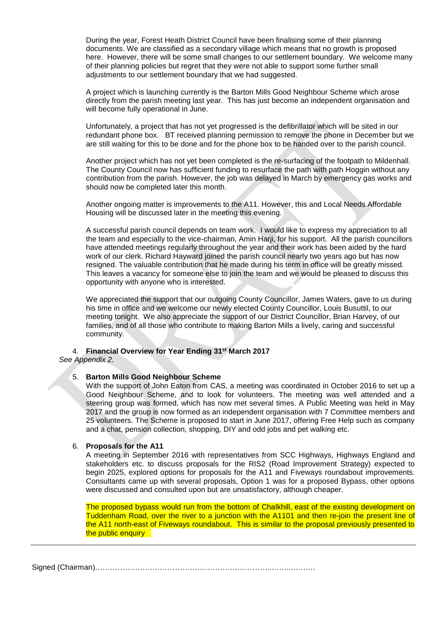During the year, Forest Heath District Council have been finalising some of their planning documents. We are classified as a secondary village which means that no growth is proposed here. However, there will be some small changes to our settlement boundary. We welcome many of their planning policies but regret that they were not able to support some further small adjustments to our settlement boundary that we had suggested.

A project which is launching currently is the Barton Mills Good Neighbour Scheme which arose directly from the parish meeting last year. This has just become an independent organisation and will become fully operational in June.

Unfortunately, a project that has not yet progressed is the defibrillator which will be sited in our redundant phone box. BT received planning permission to remove the phone in December but we are still waiting for this to be done and for the phone box to be handed over to the parish council.

Another project which has not yet been completed is the re-surfacing of the footpath to Mildenhall. The County Council now has sufficient funding to resurface the path with path Hoggin without any contribution from the parish. However, the job was delayed in March by emergency gas works and should now be completed later this month.

Another ongoing matter is improvements to the A11. However, this and Local Needs Affordable Housing will be discussed later in the meeting this evening.

A successful parish council depends on team work. I would like to express my appreciation to all the team and especially to the vice-chairman, Amin Harji, for his support. All the parish councillors have attended meetings regularly throughout the year and their work has been aided by the hard work of our clerk. Richard Hayward joined the parish council nearly two years ago but has now resigned. The valuable contribution that he made during his term in office will be greatly missed. This leaves a vacancy for someone else to join the team and we would be pleased to discuss this opportunity with anyone who is interested.

We appreciated the support that our outgoing County Councillor, James Waters, gave to us during his time in office and we welcome our newly elected County Councillor, Louis Busuttil, to our meeting tonight. We also appreciate the support of our District Councillor, Brian Harvey, of our families, and of all those who contribute to making Barton Mills a lively, caring and successful community.

## 4. **Financial Overview for Year Ending 31st March 2017**

*See Appendix 2.*

## 5. **Barton Mills Good Neighbour Scheme**

With the support of John Eaton from CAS, a meeting was coordinated in October 2016 to set up a Good Neighbour Scheme, and to look for volunteers. The meeting was well attended and a steering group was formed, which has now met several times. A Public Meeting was held in May 2017 and the group is now formed as an independent organisation with 7 Committee members and 25 volunteers. The Scheme is proposed to start in June 2017, offering Free Help such as company and a chat, pension collection, shopping, DIY and odd jobs and pet walking etc.

## 6. **Proposals for the A11**

A meeting in September 2016 with representatives from SCC Highways, Highways England and stakeholders etc. to discuss proposals for the RIS2 (Road Improvement Strategy) expected to begin 2025, explored options for proposals for the A11 and Fiveways roundabout improvements. Consultants came up with several proposals, Option 1 was for a proposed Bypass, other options were discussed and consulted upon but are unsatisfactory, although cheaper.

The proposed bypass would run from the bottom of Chalkhill, east of the existing development on Tuddenham Road, over the river to a junction with the A1101 and then re-join the present line of the A11 north-east of Fiveways roundabout. This is similar to the proposal previously presented to the public enquiry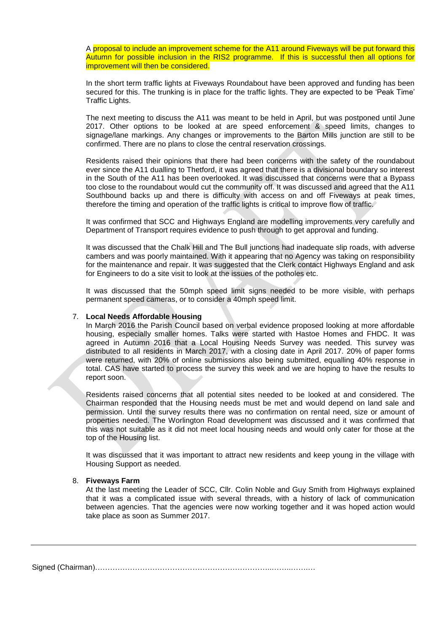A proposal to include an improvement scheme for the A11 around Fiveways will be put forward this Autumn for possible inclusion in the RIS2 programme. If this is successful then all options for improvement will then be considered.

In the short term traffic lights at Fiveways Roundabout have been approved and funding has been secured for this. The trunking is in place for the traffic lights. They are expected to be 'Peak Time' Traffic Lights.

The next meeting to discuss the A11 was meant to be held in April, but was postponed until June 2017. Other options to be looked at are speed enforcement & speed limits, changes to signage/lane markings. Any changes or improvements to the Barton Mills junction are still to be confirmed. There are no plans to close the central reservation crossings.

Residents raised their opinions that there had been concerns with the safety of the roundabout ever since the A11 dualling to Thetford, it was agreed that there is a divisional boundary so interest in the South of the A11 has been overlooked. It was discussed that concerns were that a Bypass too close to the roundabout would cut the community off. It was discussed and agreed that the A11 Southbound backs up and there is difficulty with access on and off Fiveways at peak times, therefore the timing and operation of the traffic lights is critical to improve flow of traffic.

It was confirmed that SCC and Highways England are modelling improvements very carefully and Department of Transport requires evidence to push through to get approval and funding.

It was discussed that the Chalk Hill and The Bull junctions had inadequate slip roads, with adverse cambers and was poorly maintained. With it appearing that no Agency was taking on responsibility for the maintenance and repair. It was suggested that the Clerk contact Highways England and ask for Engineers to do a site visit to look at the issues of the potholes etc.

It was discussed that the 50mph speed limit signs needed to be more visible, with perhaps permanent speed cameras, or to consider a 40mph speed limit.

#### 7. **Local Needs Affordable Housing**

In March 2016 the Parish Council based on verbal evidence proposed looking at more affordable housing, especially smaller homes. Talks were started with Hastoe Homes and FHDC. It was agreed in Autumn 2016 that a Local Housing Needs Survey was needed. This survey was distributed to all residents in March 2017, with a closing date in April 2017. 20% of paper forms were returned, with 20% of online submissions also being submitted, equalling 40% response in total. CAS have started to process the survey this week and we are hoping to have the results to report soon.

Residents raised concerns that all potential sites needed to be looked at and considered. The Chairman responded that the Housing needs must be met and would depend on land sale and permission. Until the survey results there was no confirmation on rental need, size or amount of properties needed. The Worlington Road development was discussed and it was confirmed that this was not suitable as it did not meet local housing needs and would only cater for those at the top of the Housing list.

It was discussed that it was important to attract new residents and keep young in the village with Housing Support as needed.

#### 8. **Fiveways Farm**

At the last meeting the Leader of SCC, Cllr. Colin Noble and Guy Smith from Highways explained that it was a complicated issue with several threads, with a history of lack of communication between agencies. That the agencies were now working together and it was hoped action would take place as soon as Summer 2017.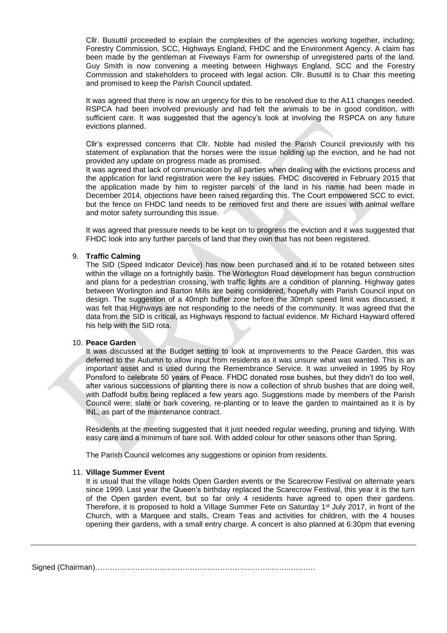Cllr. Busuttil proceeded to explain the complexities of the agencies working together, including; Forestry Commission, SCC, Highways England, FHDC and the Environment Agency. A claim has been made by the gentleman at Fiveways Farm for ownership of unregistered parts of the land. Guy Smith is now convening a meeting between Highways England, SCC and the Forestry Commission and stakeholders to proceed with legal action. Cllr. Busuttil is to Chair this meeting and promised to keep the Parish Council updated.

It was agreed that there is now an urgency for this to be resolved due to the A11 changes needed. RSPCA had been involved previously and had felt the animals to be in good condition, with sufficient care. It was suggested that the agency's look at involving the RSPCA on any future evictions planned.

Cllr's expressed concerns that Cllr. Noble had misled the Parish Council previously with his statement of explanation that the horses were the issue holding up the eviction, and he had not provided any update on progress made as promised.

It was agreed that lack of communication by all parties when dealing with the evictions process and the application for land registration were the key issues. FHDC discovered in February 2015 that the application made by him to register parcels of the land in his name had been made in December 2014, objections have been raised regarding this. The Court empowered SCC to evict, but the fence on FHDC land needs to be removed first and there are issues with animal welfare and motor safety surrounding this issue.

It was agreed that pressure needs to be kept on to progress the eviction and it was suggested that FHDC look into any further parcels of land that they own that has not been registered.

#### 9. **Traffic Calming**

The SID (Speed Indicator Device) has now been purchased and is to be rotated between sites within the village on a fortnightly basis. The Worlington Road development has begun construction and plans for a pedestrian crossing, with traffic lights are a condition of planning. Highway gates between Worlington and Barton Mills are being considered, hopefully with Parish Council input on design. The suggestion of a 40mph buffer zone before the 30mph speed limit was discussed, it was felt that Highways are not responding to the needs of the community. It was agreed that the data from the SID is critical, as Highways respond to factual evidence. Mr Richard Hayward offered his help with the SID rota.

#### 10. **Peace Garden**

It was discussed at the Budget setting to look at improvements to the Peace Garden, this was deferred to the Autumn to allow input from residents as it was unsure what was wanted. This is an important asset and is used during the Remembrance Service. It was unveiled in 1995 by Roy Ponsford to celebrate 50 years of Peace. FHDC donated rose bushes, but they didn't do too well, after various successions of planting there is now a collection of shrub bushes that are doing well, with Daffodil bulbs being replaced a few years ago. Suggestions made by members of the Parish Council were; slate or bark covering, re-planting or to leave the garden to maintained as it is by INL, as part of the maintenance contract.

Residents at the meeting suggested that it just needed regular weeding, pruning and tidying. With easy care and a minimum of bare soil. With added colour for other seasons other than Spring.

The Parish Council welcomes any suggestions or opinion from residents.

#### 11. **Village Summer Event**

It is usual that the village holds Open Garden events or the Scarecrow Festival on alternate years since 1999. Last year the Queen's birthday replaced the Scarecrow Festival, this year it is the turn of the Open garden event, but so far only 4 residents have agreed to open their gardens. Therefore, it is proposed to hold a Village Summer Fete on Saturday 1<sup>st</sup> July 2017, in front of the Church, with a Marquee and stalls, Cream Teas and activities for children, with the 4 houses opening their gardens, with a small entry charge. A concert is also planned at 6:30pm that evening